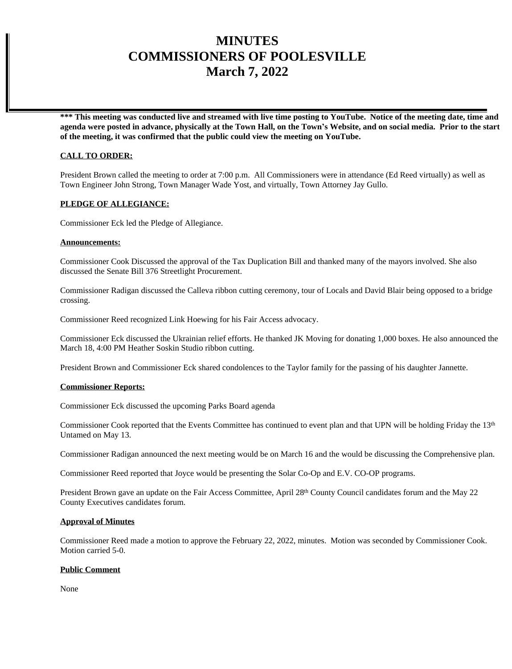# **MINUTES COMMISSIONERS OF POOLESVILLE March 7, 2022**

**\*\*\* This meeting was conducted live and streamed with live time posting to YouTube. Notice of the meeting date, time and agenda were posted in advance, physically at the Town Hall, on the Town's Website, and on social media. Prior to the start of the meeting, it was confirmed that the public could view the meeting on YouTube.**

# **CALL TO ORDER:**

President Brown called the meeting to order at 7:00 p.m. All Commissioners were in attendance (Ed Reed virtually) as well as Town Engineer John Strong, Town Manager Wade Yost, and virtually, Town Attorney Jay Gullo.

# **PLEDGE OF ALLEGIANCE:**

Commissioner Eck led the Pledge of Allegiance.

## **Announcements:**

Commissioner Cook Discussed the approval of the Tax Duplication Bill and thanked many of the mayors involved. She also discussed the Senate Bill 376 Streetlight Procurement.

Commissioner Radigan discussed the Calleva ribbon cutting ceremony, tour of Locals and David Blair being opposed to a bridge crossing.

Commissioner Reed recognized Link Hoewing for his Fair Access advocacy.

Commissioner Eck discussed the Ukrainian relief efforts. He thanked JK Moving for donating 1,000 boxes. He also announced the March 18, 4:00 PM Heather Soskin Studio ribbon cutting.

President Brown and Commissioner Eck shared condolences to the Taylor family for the passing of his daughter Jannette.

## **Commissioner Reports:**

Commissioner Eck discussed the upcoming Parks Board agenda

Commissioner Cook reported that the Events Committee has continued to event plan and that UPN will be holding Friday the 13<sup>th</sup> Untamed on May 13.

Commissioner Radigan announced the next meeting would be on March 16 and the would be discussing the Comprehensive plan.

Commissioner Reed reported that Joyce would be presenting the Solar Co-Op and E.V. CO-OP programs.

President Brown gave an update on the Fair Access Committee, April 28<sup>th</sup> County Council candidates forum and the May 22 County Executives candidates forum.

## **Approval of Minutes**

Commissioner Reed made a motion to approve the February 22, 2022, minutes. Motion was seconded by Commissioner Cook. Motion carried 5-0.

# **Public Comment**

None